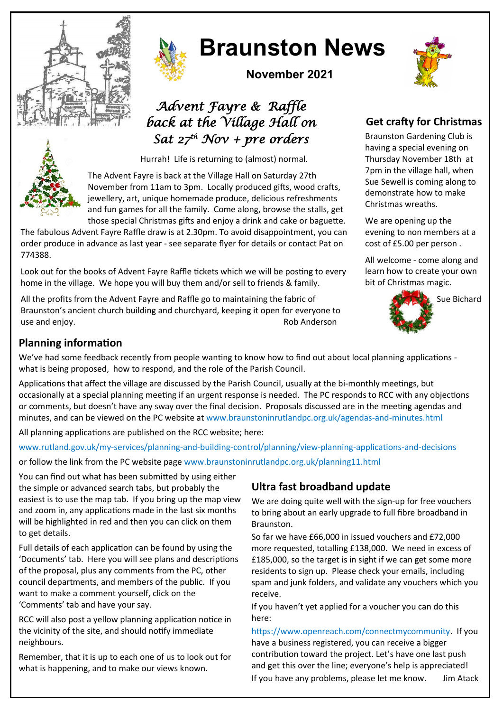



# **Braunston News**

**November 2021**

# *Advent Fayre & Raffle back at the Village Hall on Sat 27th Nov + pre orders*

Hurrah! Life is returning to (almost) normal.

The Advent Fayre is back at the Village Hall on Saturday 27th November from 11am to 3pm. Locally produced gifts, wood crafts, jewellery, art, unique homemade produce, delicious refreshments and fun games for all the family. Come along, browse the stalls, get those special Christmas gifts and enjoy a drink and cake or baguette.

The fabulous Advent Fayre Raffle draw is at 2.30pm. To avoid disappointment, you can order produce in advance as last year - see separate flyer for details or contact Pat on 774388.

Look out for the books of Advent Fayre Raffle tickets which we will be posting to every home in the village. We hope you will buy them and/or sell to friends & family.

All the profits from the Advent Fayre and Raffle go to maintaining the fabric of Braunston's ancient church building and churchyard, keeping it open for everyone to use and enjoy. Rob Anderson

# **Get crafty for Christmas**

Braunston Gardening Club is having a special evening on Thursday November 18th at 7pm in the village hall, when Sue Sewell is coming along to demonstrate how to make Christmas wreaths.

We are opening up the evening to non members at a cost of £5.00 per person .

All welcome - come along and learn how to create your own bit of Christmas magic.



Sue Bichard



#### **Planning information**

We've had some feedback recently from people wanting to know how to find out about local planning applications what is being proposed, how to respond, and the role of the Parish Council.

Applications that affect the village are discussed by the Parish Council, usually at the bi-monthly meetings, but occasionally at a special planning meeting if an urgent response is needed. The PC responds to RCC with any objections or comments, but doesn't have any sway over the final decision. Proposals discussed are in the meeting agendas and minutes, and can be viewed on the PC website at www.braunstoninrutlandpc.org.uk/agendas-and-minutes.html

All planning applications are published on the RCC website; here:

www.rutland.gov.uk/my-services/planning-and-building-control/planning/view-planning-applications-and-decisions or follow the link from the PC website page www.braunstoninrutlandpc.org.uk/planning11.html

You can find out what has been submitted by using either the simple or advanced search tabs, but probably the easiest is to use the map tab. If you bring up the map view and zoom in, any applications made in the last six months will be highlighted in red and then you can click on them to get details.

Full details of each application can be found by using the 'Documents' tab. Here you will see plans and descriptions of the proposal, plus any comments from the PC, other council departments, and members of the public. If you want to make a comment yourself, click on the 'Comments' tab and have your say.

RCC will also post a yellow planning application notice in the vicinity of the site, and should notify immediate neighbours.

Remember, that it is up to each one of us to look out for what is happening, and to make our views known.

## **Ultra fast broadband update**

We are doing quite well with the sign-up for free vouchers to bring about an early upgrade to full fibre broadband in Braunston.

So far we have £66,000 in issued vouchers and £72,000 more requested, totalling £138,000. We need in excess of £185,000, so the target is in sight if we can get some more residents to sign up. Please check your emails, including spam and junk folders, and validate any vouchers which you receive.

If you haven't yet applied for a voucher you can do this here:

https://www.openreach.com/connectmycommunity. If you have a business registered, you can receive a bigger contribution toward the project. Let's have one last push and get this over the line; everyone's help is appreciated! If you have any problems, please let me know. Jim Atack